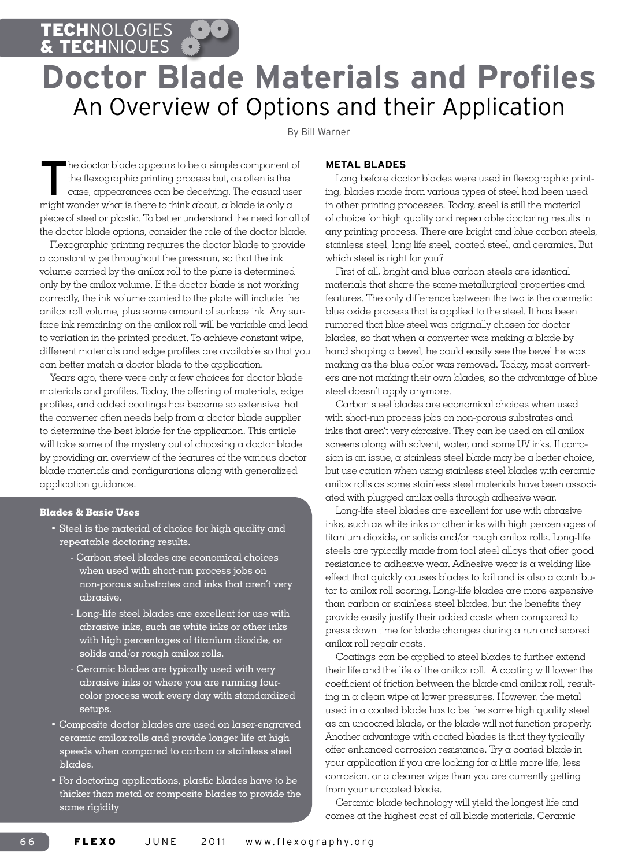TECHNOLOGIES & TECHNIQUES

# **Doctor Blade Materials and Profiles** An Overview of Options and their Application

By Bill Warner

The doctor blade appears to be a simple component of the flexographic printing process but, as often is the case, appearances can be deceiving. The casual user the flexographic printing process but, as often is the case, appearances can be deceiving. The casual user might wonder what is there to think about, a blade is only a piece of steel or plastic. To better understand the need for all of the doctor blade options, consider the role of the doctor blade.

Flexographic printing requires the doctor blade to provide a constant wipe throughout the pressrun, so that the ink volume carried by the anilox roll to the plate is determined only by the anilox volume. If the doctor blade is not working correctly, the ink volume carried to the plate will include the anilox roll volume, plus some amount of surface ink Any surface ink remaining on the anilox roll will be variable and lead to variation in the printed product. To achieve constant wipe, different materials and edge profiles are available so that you can better match a doctor blade to the application.

Years ago, there were only a few choices for doctor blade materials and profiles. Today, the offering of materials, edge profiles, and added coatings has become so extensive that the converter often needs help from a doctor blade supplier to determine the best blade for the application. This article will take some of the mystery out of choosing a doctor blade by providing an overview of the features of the various doctor blade materials and configurations along with generalized application guidance.

#### **Blades & Basic Uses**

- • Steel is the material of choice for high quality and repeatable doctoring results.
	- Carbon steel blades are economical choices when used with short-run process jobs on non-porous substrates and inks that aren't very abrasive.
	- Long-life steel blades are excellent for use with abrasive inks, such as white inks or other inks with high percentages of titanium dioxide, or solids and/or rough anilox rolls.
	- Ceramic blades are typically used with very abrasive inks or where you are running fourcolor process work every day with standardized setups.
- • Composite doctor blades are used on laser-engraved ceramic anilox rolls and provide longer life at high speeds when compared to carbon or stainless steel blades.
- • For doctoring applications, plastic blades have to be thicker than metal or composite blades to provide the same rigidity

#### **METAL BLADES**

Long before doctor blades were used in flexographic printing, blades made from various types of steel had been used in other printing processes. Today, steel is still the material of choice for high quality and repeatable doctoring results in any printing process. There are bright and blue carbon steels, stainless steel, long life steel, coated steel, and ceramics. But which steel is right for you?

First of all, bright and blue carbon steels are identical materials that share the same metallurgical properties and features. The only difference between the two is the cosmetic blue oxide process that is applied to the steel. It has been rumored that blue steel was originally chosen for doctor blades, so that when a converter was making a blade by hand shaping a bevel, he could easily see the bevel he was making as the blue color was removed. Today, most converters are not making their own blades, so the advantage of blue steel doesn't apply anymore.

Carbon steel blades are economical choices when used with short-run process jobs on non-porous substrates and inks that aren't very abrasive. They can be used on all anilox screens along with solvent, water, and some UV inks. If corrosion is an issue, a stainless steel blade may be a better choice, but use caution when using stainless steel blades with ceramic anilox rolls as some stainless steel materials have been associated with plugged anilox cells through adhesive wear.

Long-life steel blades are excellent for use with abrasive inks, such as white inks or other inks with high percentages of titanium dioxide, or solids and/or rough anilox rolls. Long-life steels are typically made from tool steel alloys that offer good resistance to adhesive wear. Adhesive wear is a welding like effect that quickly causes blades to fail and is also a contributor to anilox roll scoring. Long-life blades are more expensive than carbon or stainless steel blades, but the benefits they provide easily justify their added costs when compared to press down time for blade changes during a run and scored anilox roll repair costs.

Coatings can be applied to steel blades to further extend their life and the life of the anilox roll. A coating will lower the coefficient of friction between the blade and anilox roll, resulting in a clean wipe at lower pressures. However, the metal used in a coated blade has to be the same high quality steel as an uncoated blade, or the blade will not function properly. Another advantage with coated blades is that they typically offer enhanced corrosion resistance. Try a coated blade in your application if you are looking for a little more life, less corrosion, or a cleaner wipe than you are currently getting from your uncoated blade.

Ceramic blade technology will yield the longest life and comes at the highest cost of all blade materials. Ceramic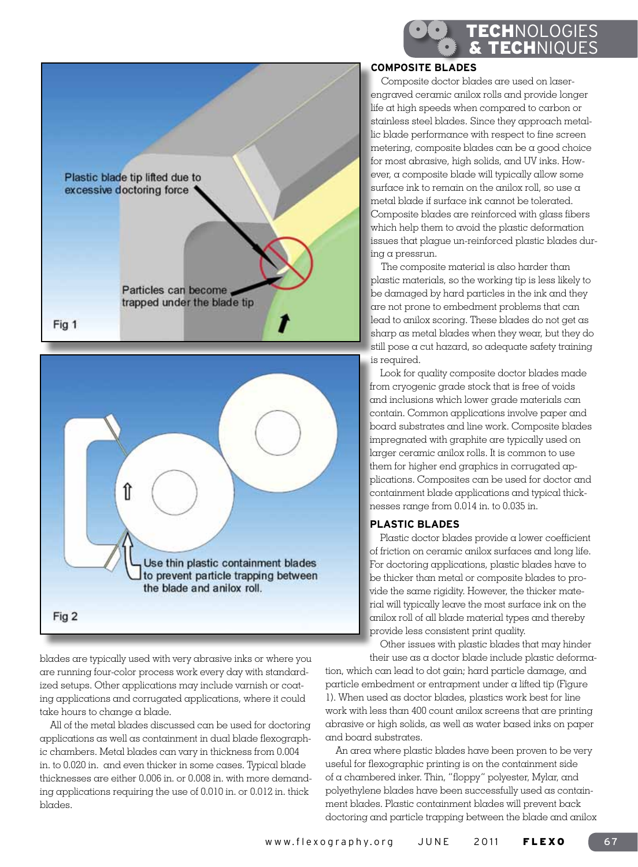



blades are typically used with very abrasive inks or where you are running four-color process work every day with standardized setups. Other applications may include varnish or coating applications and corrugated applications, where it could take hours to change a blade.

All of the metal blades discussed can be used for doctoring applications as well as containment in dual blade flexographic chambers. Metal blades can vary in thickness from 0.004 in. to 0.020 in. and even thicker in some cases. Typical blade thicknesses are either 0.006 in. or 0.008 in. with more demanding applications requiring the use of 0.010 in. or 0.012 in. thick blades.

### **COMPOSITE BLADES**

Composite doctor blades are used on laserengraved ceramic anilox rolls and provide longer life at high speeds when compared to carbon or stainless steel blades. Since they approach metallic blade performance with respect to fine screen metering, composite blades can be a good choice for most abrasive, high solids, and UV inks. However, a composite blade will typically allow some surface ink to remain on the anilox roll, so use a metal blade if surface ink cannot be tolerated. Composite blades are reinforced with glass fibers which help them to avoid the plastic deformation issues that plague un-reinforced plastic blades during a pressrun.

Technologies & TECHNIQUES

The composite material is also harder than plastic materials, so the working tip is less likely to be damaged by hard particles in the ink and they are not prone to embedment problems that can lead to anilox scoring. These blades do not get as sharp as metal blades when they wear, but they do still pose a cut hazard, so adequate safety training is required.

Look for quality composite doctor blades made from cryogenic grade stock that is free of voids and inclusions which lower grade materials can contain. Common applications involve paper and board substrates and line work. Composite blades impregnated with graphite are typically used on larger ceramic anilox rolls. It is common to use them for higher end graphics in corrugated applications. Composites can be used for doctor and containment blade applications and typical thicknesses range from 0.014 in. to 0.035 in.

#### **PLAsTIC BLADES**

Plastic doctor blades provide a lower coefficient of friction on ceramic anilox surfaces and long life. For doctoring applications, plastic blades have to be thicker than metal or composite blades to provide the same rigidity. However, the thicker material will typically leave the most surface ink on the anilox roll of all blade material types and thereby provide less consistent print quality.

Other issues with plastic blades that may hinder their use as a doctor blade include plastic deforma-

tion, which can lead to dot gain; hard particle damage, and particle embedment or entrapment under a lifted tip (Figure 1). When used as doctor blades, plastics work best for line work with less than 400 count anilox screens that are printing abrasive or high solids, as well as water based inks on paper and board substrates.

An area where plastic blades have been proven to be very useful for flexographic printing is on the containment side of a chambered inker. Thin, "floppy" polyester, Mylar, and polyethylene blades have been successfully used as containment blades. Plastic containment blades will prevent back doctoring and particle trapping between the blade and anilox